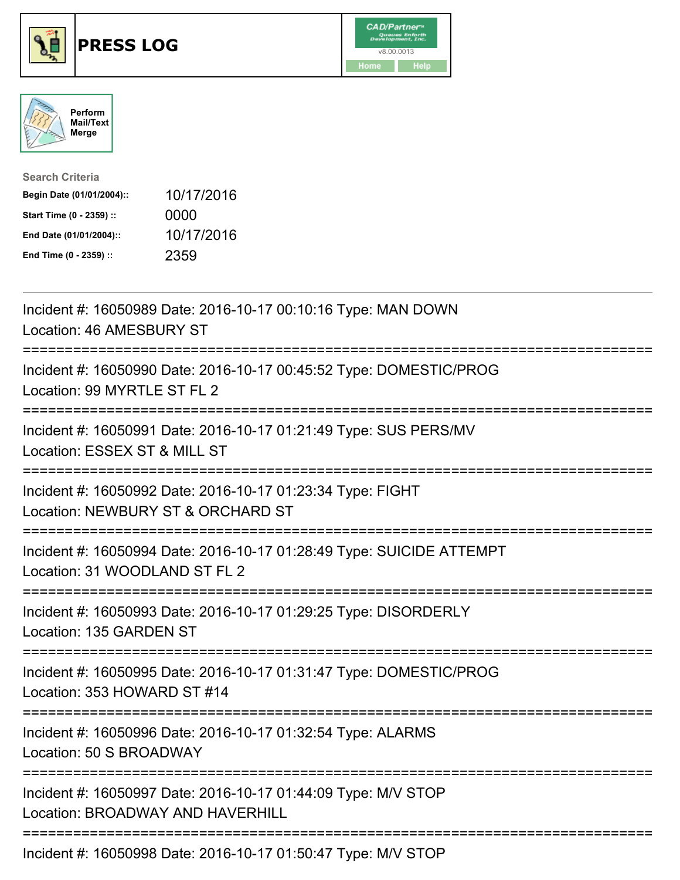





| <b>Search Criteria</b>    |            |
|---------------------------|------------|
| Begin Date (01/01/2004):: | 10/17/2016 |
| Start Time (0 - 2359) ::  | 0000       |
| End Date (01/01/2004)::   | 10/17/2016 |
| End Time (0 - 2359) ::    | 2359       |

| Incident #: 16050989 Date: 2016-10-17 00:10:16 Type: MAN DOWN<br>Location: 46 AMESBURY ST                                                  |
|--------------------------------------------------------------------------------------------------------------------------------------------|
| Incident #: 16050990 Date: 2016-10-17 00:45:52 Type: DOMESTIC/PROG<br>Location: 99 MYRTLE ST FL 2                                          |
| Incident #: 16050991 Date: 2016-10-17 01:21:49 Type: SUS PERS/MV<br>Location: ESSEX ST & MILL ST                                           |
| Incident #: 16050992 Date: 2016-10-17 01:23:34 Type: FIGHT<br>Location: NEWBURY ST & ORCHARD ST                                            |
| Incident #: 16050994 Date: 2016-10-17 01:28:49 Type: SUICIDE ATTEMPT<br>Location: 31 WOODLAND ST FL 2<br>-----------                       |
| Incident #: 16050993 Date: 2016-10-17 01:29:25 Type: DISORDERLY<br>Location: 135 GARDEN ST<br>===================                          |
| Incident #: 16050995 Date: 2016-10-17 01:31:47 Type: DOMESTIC/PROG<br>Location: 353 HOWARD ST #14<br>------------------------------------- |
| Incident #: 16050996 Date: 2016-10-17 01:32:54 Type: ALARMS<br>Location: 50 S BROADWAY                                                     |
| Incident #: 16050997 Date: 2016-10-17 01:44:09 Type: M/V STOP<br>Location: BROADWAY AND HAVERHILL                                          |
| Incident #: 16050998 Date: 2016-10-17 01:50:47 Type: M/V STOP                                                                              |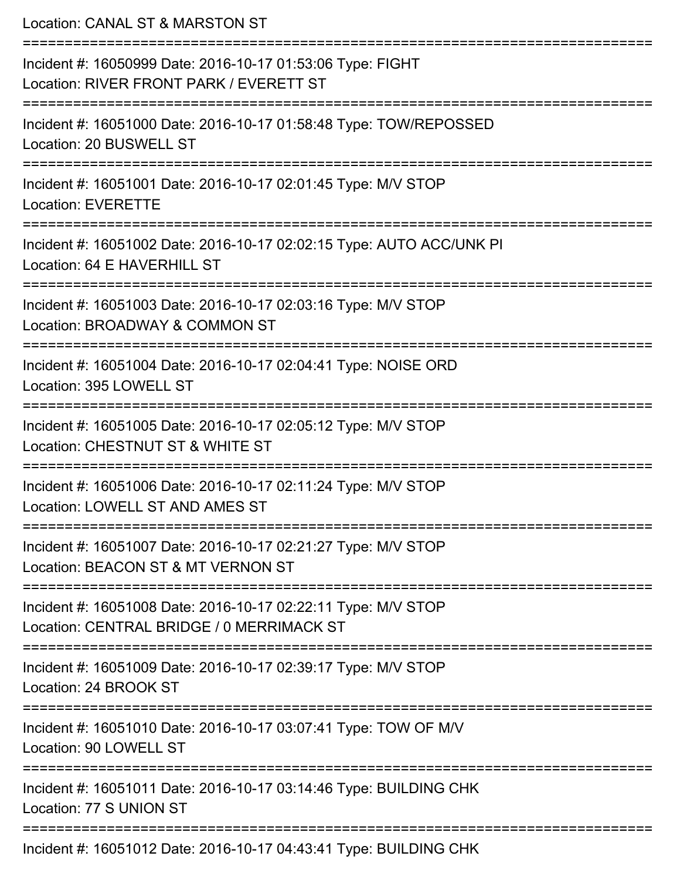Location: CANAL ST & MARSTON ST =========================================================================== Incident #: 16050999 Date: 2016-10-17 01:53:06 Type: FIGHT Location: RIVER FRONT PARK / EVERETT ST =========================================================================== Incident #: 16051000 Date: 2016-10-17 01:58:48 Type: TOW/REPOSSED Location: 20 BUSWELL ST =========================================================================== Incident #: 16051001 Date: 2016-10-17 02:01:45 Type: M/V STOP Location: EVERETTE =========================================================================== Incident #: 16051002 Date: 2016-10-17 02:02:15 Type: AUTO ACC/UNK PI Location: 64 E HAVERHILL ST **=========================** Incident #: 16051003 Date: 2016-10-17 02:03:16 Type: M/V STOP Location: BROADWAY & COMMON ST =========================================================================== Incident #: 16051004 Date: 2016-10-17 02:04:41 Type: NOISE ORD Location: 395 LOWELL ST =========================================================================== Incident #: 16051005 Date: 2016-10-17 02:05:12 Type: M/V STOP Location: CHESTNUT ST & WHITE ST =========================================================================== Incident #: 16051006 Date: 2016-10-17 02:11:24 Type: M/V STOP Location: LOWELL ST AND AMES ST =========================================================================== Incident #: 16051007 Date: 2016-10-17 02:21:27 Type: M/V STOP Location: BEACON ST & MT VERNON ST =========================================================================== Incident #: 16051008 Date: 2016-10-17 02:22:11 Type: M/V STOP Location: CENTRAL BRIDGE / 0 MERRIMACK ST =========================================================================== Incident #: 16051009 Date: 2016-10-17 02:39:17 Type: M/V STOP Location: 24 BROOK ST =========================================================================== Incident #: 16051010 Date: 2016-10-17 03:07:41 Type: TOW OF M/V Location: 90 LOWELL ST =========================================================================== Incident #: 16051011 Date: 2016-10-17 03:14:46 Type: BUILDING CHK Location: 77 S UNION ST =========================================================================== Incident #: 16051012 Date: 2016-10-17 04:43:41 Type: BUILDING CHK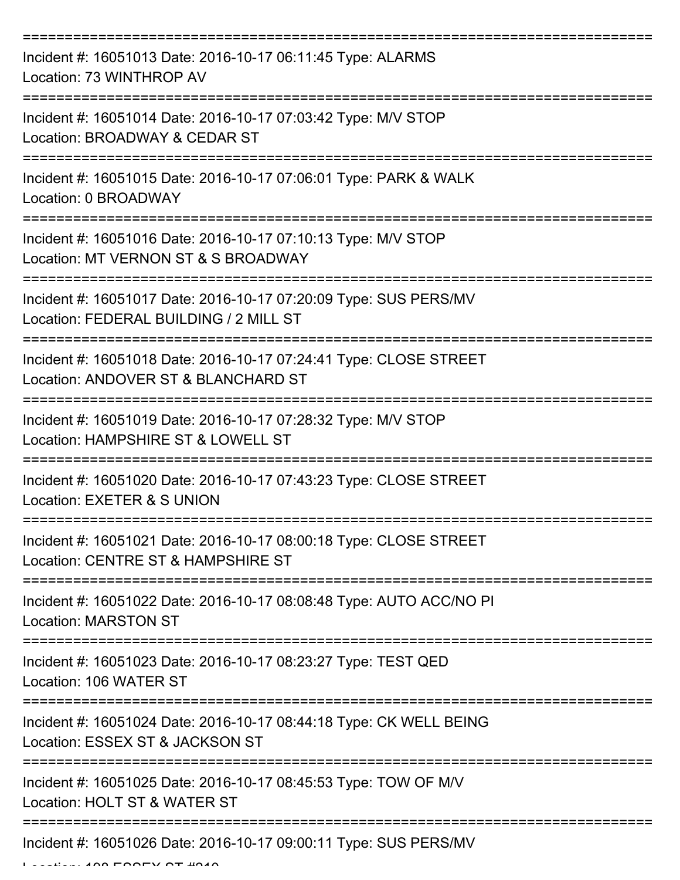| Incident #: 16051013 Date: 2016-10-17 06:11:45 Type: ALARMS<br>Location: 73 WINTHROP AV                    |
|------------------------------------------------------------------------------------------------------------|
| Incident #: 16051014 Date: 2016-10-17 07:03:42 Type: M/V STOP<br>Location: BROADWAY & CEDAR ST             |
| Incident #: 16051015 Date: 2016-10-17 07:06:01 Type: PARK & WALK<br>Location: 0 BROADWAY                   |
| Incident #: 16051016 Date: 2016-10-17 07:10:13 Type: M/V STOP<br>Location: MT VERNON ST & S BROADWAY       |
| Incident #: 16051017 Date: 2016-10-17 07:20:09 Type: SUS PERS/MV<br>Location: FEDERAL BUILDING / 2 MILL ST |
| Incident #: 16051018 Date: 2016-10-17 07:24:41 Type: CLOSE STREET<br>Location: ANDOVER ST & BLANCHARD ST   |
| Incident #: 16051019 Date: 2016-10-17 07:28:32 Type: M/V STOP<br>Location: HAMPSHIRE ST & LOWELL ST        |
| Incident #: 16051020 Date: 2016-10-17 07:43:23 Type: CLOSE STREET<br>Location: EXETER & S UNION            |
| Incident #: 16051021 Date: 2016-10-17 08:00:18 Type: CLOSE STREET<br>Location: CENTRE ST & HAMPSHIRE ST    |
| Incident #: 16051022 Date: 2016-10-17 08:08:48 Type: AUTO ACC/NO PI<br><b>Location: MARSTON ST</b>         |
| Incident #: 16051023 Date: 2016-10-17 08:23:27 Type: TEST QED<br>Location: 106 WATER ST                    |
| Incident #: 16051024 Date: 2016-10-17 08:44:18 Type: CK WELL BEING<br>Location: ESSEX ST & JACKSON ST      |
| Incident #: 16051025 Date: 2016-10-17 08:45:53 Type: TOW OF M/V<br>Location: HOLT ST & WATER ST            |
| Incident #: 16051026 Date: 2016-10-17 09:00:11 Type: SUS PERS/MV                                           |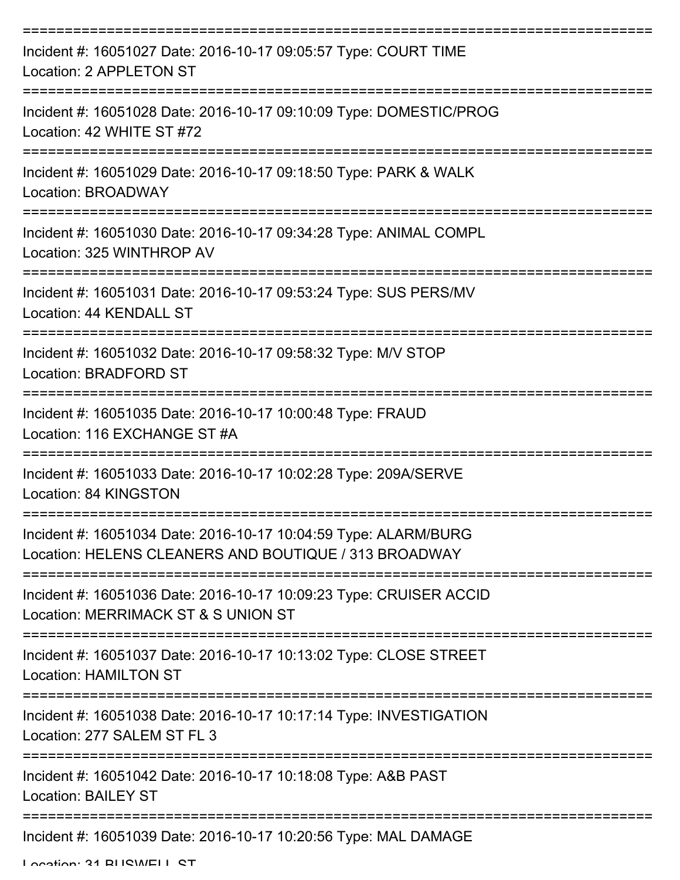| Incident #: 16051027 Date: 2016-10-17 09:05:57 Type: COURT TIME<br>Location: 2 APPLETON ST                                           |
|--------------------------------------------------------------------------------------------------------------------------------------|
| Incident #: 16051028 Date: 2016-10-17 09:10:09 Type: DOMESTIC/PROG<br>Location: 42 WHITE ST #72                                      |
| Incident #: 16051029 Date: 2016-10-17 09:18:50 Type: PARK & WALK<br>Location: BROADWAY                                               |
| Incident #: 16051030 Date: 2016-10-17 09:34:28 Type: ANIMAL COMPL<br>Location: 325 WINTHROP AV                                       |
| Incident #: 16051031 Date: 2016-10-17 09:53:24 Type: SUS PERS/MV<br>Location: 44 KENDALL ST<br>:==================================== |
| Incident #: 16051032 Date: 2016-10-17 09:58:32 Type: M/V STOP<br>Location: BRADFORD ST                                               |
| Incident #: 16051035 Date: 2016-10-17 10:00:48 Type: FRAUD<br>Location: 116 EXCHANGE ST #A                                           |
| Incident #: 16051033 Date: 2016-10-17 10:02:28 Type: 209A/SERVE<br>Location: 84 KINGSTON                                             |
| Incident #: 16051034 Date: 2016-10-17 10:04:59 Type: ALARM/BURG<br>Location: HELENS CLEANERS AND BOUTIQUE / 313 BROADWAY             |
| Incident #: 16051036 Date: 2016-10-17 10:09:23 Type: CRUISER ACCID<br>Location: MERRIMACK ST & S UNION ST                            |
| Incident #: 16051037 Date: 2016-10-17 10:13:02 Type: CLOSE STREET<br><b>Location: HAMILTON ST</b>                                    |
| Incident #: 16051038 Date: 2016-10-17 10:17:14 Type: INVESTIGATION<br>Location: 277 SALEM ST FL 3                                    |
| Incident #: 16051042 Date: 2016-10-17 10:18:08 Type: A&B PAST<br><b>Location: BAILEY ST</b>                                          |
| Incident #: 16051039 Date: 2016-10-17 10:20:56 Type: MAL DAMAGE                                                                      |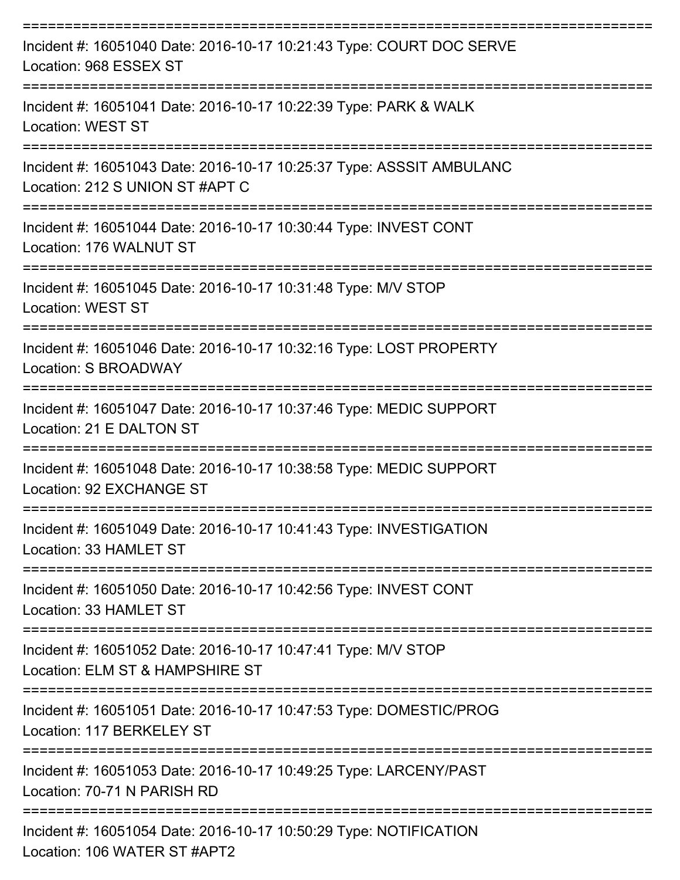| Incident #: 16051040 Date: 2016-10-17 10:21:43 Type: COURT DOC SERVE<br>Location: 968 ESSEX ST          |
|---------------------------------------------------------------------------------------------------------|
| Incident #: 16051041 Date: 2016-10-17 10:22:39 Type: PARK & WALK<br><b>Location: WEST ST</b>            |
| Incident #: 16051043 Date: 2016-10-17 10:25:37 Type: ASSSIT AMBULANC<br>Location: 212 S UNION ST #APT C |
| Incident #: 16051044 Date: 2016-10-17 10:30:44 Type: INVEST CONT<br>Location: 176 WALNUT ST             |
| Incident #: 16051045 Date: 2016-10-17 10:31:48 Type: M/V STOP<br><b>Location: WEST ST</b>               |
| Incident #: 16051046 Date: 2016-10-17 10:32:16 Type: LOST PROPERTY<br>Location: S BROADWAY              |
| Incident #: 16051047 Date: 2016-10-17 10:37:46 Type: MEDIC SUPPORT<br>Location: 21 E DALTON ST          |
| Incident #: 16051048 Date: 2016-10-17 10:38:58 Type: MEDIC SUPPORT<br>Location: 92 EXCHANGE ST          |
| Incident #: 16051049 Date: 2016-10-17 10:41:43 Type: INVESTIGATION<br>Location: 33 HAMLET ST            |
| Incident #: 16051050 Date: 2016-10-17 10:42:56 Type: INVEST CONT<br>Location: 33 HAMLET ST              |
| Incident #: 16051052 Date: 2016-10-17 10:47:41 Type: M/V STOP<br>Location: ELM ST & HAMPSHIRE ST        |
| Incident #: 16051051 Date: 2016-10-17 10:47:53 Type: DOMESTIC/PROG<br>Location: 117 BERKELEY ST         |
| Incident #: 16051053 Date: 2016-10-17 10:49:25 Type: LARCENY/PAST<br>Location: 70-71 N PARISH RD        |
| Incident #: 16051054 Date: 2016-10-17 10:50:29 Type: NOTIFICATION<br>Location: 106 WATER ST #APT2       |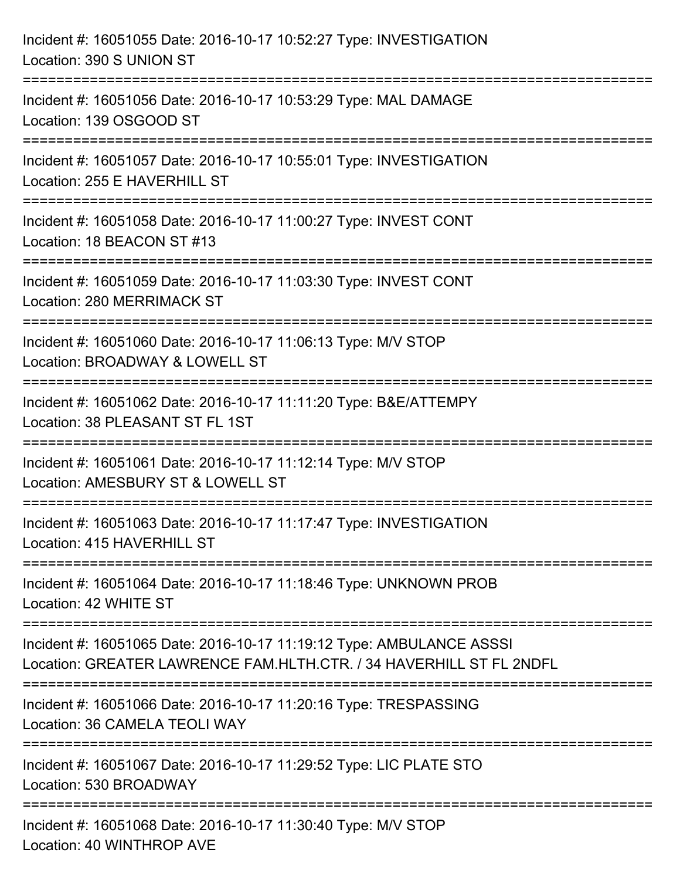| Incident #: 16051055 Date: 2016-10-17 10:52:27 Type: INVESTIGATION<br>Location: 390 S UNION ST                                              |
|---------------------------------------------------------------------------------------------------------------------------------------------|
| :========================<br>Incident #: 16051056 Date: 2016-10-17 10:53:29 Type: MAL DAMAGE<br>Location: 139 OSGOOD ST                     |
| Incident #: 16051057 Date: 2016-10-17 10:55:01 Type: INVESTIGATION<br>Location: 255 E HAVERHILL ST<br>=========================             |
| Incident #: 16051058 Date: 2016-10-17 11:00:27 Type: INVEST CONT<br>Location: 18 BEACON ST #13                                              |
| Incident #: 16051059 Date: 2016-10-17 11:03:30 Type: INVEST CONT<br>Location: 280 MERRIMACK ST<br>=================================         |
| Incident #: 16051060 Date: 2016-10-17 11:06:13 Type: M/V STOP<br>Location: BROADWAY & LOWELL ST                                             |
| Incident #: 16051062 Date: 2016-10-17 11:11:20 Type: B&E/ATTEMPY<br>Location: 38 PLEASANT ST FL 1ST                                         |
| Incident #: 16051061 Date: 2016-10-17 11:12:14 Type: M/V STOP<br>Location: AMESBURY ST & LOWELL ST                                          |
| Incident #: 16051063 Date: 2016-10-17 11:17:47 Type: INVESTIGATION<br>Location: 415 HAVERHILL ST                                            |
| Incident #: 16051064 Date: 2016-10-17 11:18:46 Type: UNKNOWN PROB<br>Location: 42 WHITE ST                                                  |
| Incident #: 16051065 Date: 2016-10-17 11:19:12 Type: AMBULANCE ASSSI<br>Location: GREATER LAWRENCE FAM.HLTH.CTR. / 34 HAVERHILL ST FL 2NDFL |
| Incident #: 16051066 Date: 2016-10-17 11:20:16 Type: TRESPASSING<br>Location: 36 CAMELA TEOLI WAY                                           |
| Incident #: 16051067 Date: 2016-10-17 11:29:52 Type: LIC PLATE STO<br>Location: 530 BROADWAY                                                |
| Incident #: 16051068 Date: 2016-10-17 11:30:40 Type: M/V STOP<br>Location: 40 WINTHROP AVE                                                  |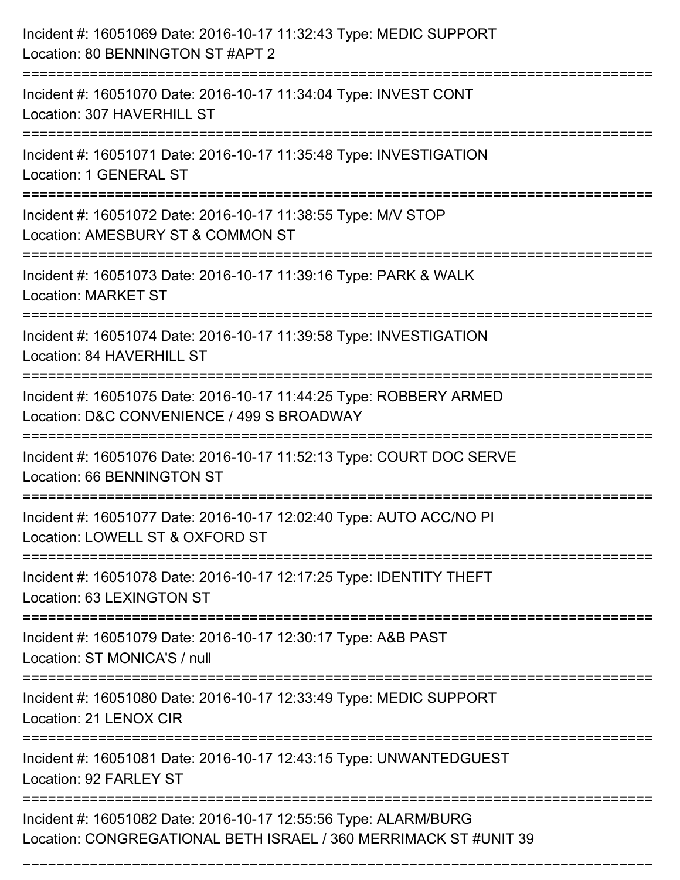| Incident #: 16051069 Date: 2016-10-17 11:32:43 Type: MEDIC SUPPORT<br>Location: 80 BENNINGTON ST #APT 2                                           |
|---------------------------------------------------------------------------------------------------------------------------------------------------|
| Incident #: 16051070 Date: 2016-10-17 11:34:04 Type: INVEST CONT<br>Location: 307 HAVERHILL ST                                                    |
| Incident #: 16051071 Date: 2016-10-17 11:35:48 Type: INVESTIGATION<br><b>Location: 1 GENERAL ST</b>                                               |
| Incident #: 16051072 Date: 2016-10-17 11:38:55 Type: M/V STOP<br>Location: AMESBURY ST & COMMON ST                                                |
| Incident #: 16051073 Date: 2016-10-17 11:39:16 Type: PARK & WALK<br><b>Location: MARKET ST</b>                                                    |
| Incident #: 16051074 Date: 2016-10-17 11:39:58 Type: INVESTIGATION<br>Location: 84 HAVERHILL ST                                                   |
| Incident #: 16051075 Date: 2016-10-17 11:44:25 Type: ROBBERY ARMED<br>Location: D&C CONVENIENCE / 499 S BROADWAY<br>============================= |
| Incident #: 16051076 Date: 2016-10-17 11:52:13 Type: COURT DOC SERVE<br>Location: 66 BENNINGTON ST                                                |
| Incident #: 16051077 Date: 2016-10-17 12:02:40 Type: AUTO ACC/NO PI<br>Location: LOWELL ST & OXFORD ST                                            |
| Incident #: 16051078 Date: 2016-10-17 12:17:25 Type: IDENTITY THEFT<br>Location: 63 LEXINGTON ST                                                  |
| Incident #: 16051079 Date: 2016-10-17 12:30:17 Type: A&B PAST<br>Location: ST MONICA'S / null                                                     |
| Incident #: 16051080 Date: 2016-10-17 12:33:49 Type: MEDIC SUPPORT<br>Location: 21 LENOX CIR                                                      |
| =============<br>Incident #: 16051081 Date: 2016-10-17 12:43:15 Type: UNWANTEDGUEST<br>Location: 92 FARLEY ST                                     |
| Incident #: 16051082 Date: 2016-10-17 12:55:56 Type: ALARM/BURG<br>Location: CONGREGATIONAL BETH ISRAEL / 360 MERRIMACK ST #UNIT 39               |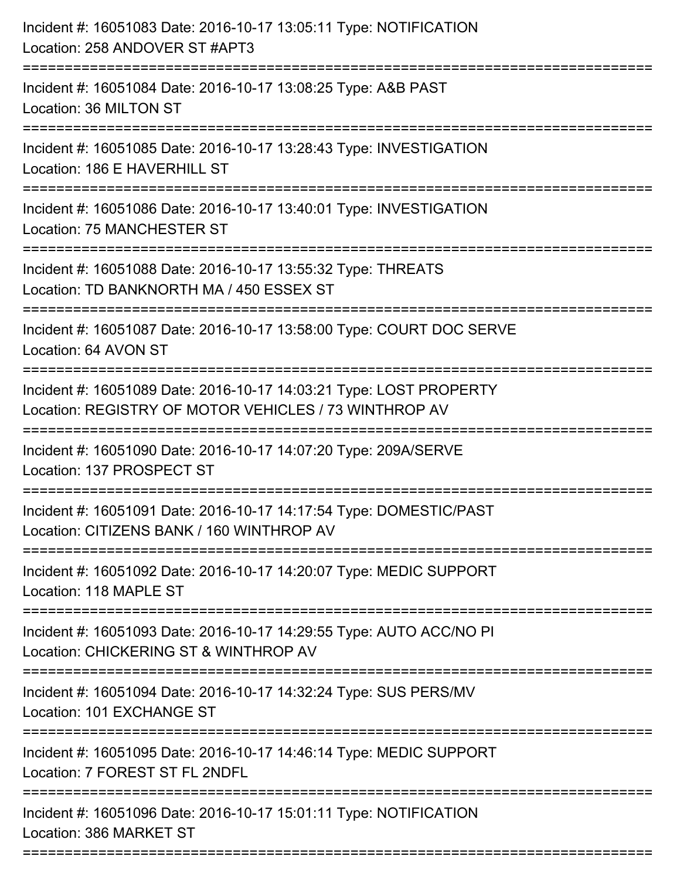| Incident #: 16051083 Date: 2016-10-17 13:05:11 Type: NOTIFICATION<br>Location: 258 ANDOVER ST #APT3<br>===============================       |
|----------------------------------------------------------------------------------------------------------------------------------------------|
| Incident #: 16051084 Date: 2016-10-17 13:08:25 Type: A&B PAST<br>Location: 36 MILTON ST                                                      |
| Incident #: 16051085 Date: 2016-10-17 13:28:43 Type: INVESTIGATION<br>Location: 186 E HAVERHILL ST<br>:===================================== |
| Incident #: 16051086 Date: 2016-10-17 13:40:01 Type: INVESTIGATION<br>Location: 75 MANCHESTER ST<br>-------------------------------------    |
| Incident #: 16051088 Date: 2016-10-17 13:55:32 Type: THREATS<br>Location: TD BANKNORTH MA / 450 ESSEX ST                                     |
| Incident #: 16051087 Date: 2016-10-17 13:58:00 Type: COURT DOC SERVE<br>Location: 64 AVON ST                                                 |
| Incident #: 16051089 Date: 2016-10-17 14:03:21 Type: LOST PROPERTY<br>Location: REGISTRY OF MOTOR VEHICLES / 73 WINTHROP AV                  |
| Incident #: 16051090 Date: 2016-10-17 14:07:20 Type: 209A/SERVE<br>Location: 137 PROSPECT ST                                                 |
| Incident #: 16051091 Date: 2016-10-17 14:17:54 Type: DOMESTIC/PAST<br>Location: CITIZENS BANK / 160 WINTHROP AV                              |
| Incident #: 16051092 Date: 2016-10-17 14:20:07 Type: MEDIC SUPPORT<br>Location: 118 MAPLE ST                                                 |
| Incident #: 16051093 Date: 2016-10-17 14:29:55 Type: AUTO ACC/NO PI<br>Location: CHICKERING ST & WINTHROP AV                                 |
| Incident #: 16051094 Date: 2016-10-17 14:32:24 Type: SUS PERS/MV<br>Location: 101 EXCHANGE ST                                                |
| Incident #: 16051095 Date: 2016-10-17 14:46:14 Type: MEDIC SUPPORT<br>Location: 7 FOREST ST FL 2NDFL                                         |
| Incident #: 16051096 Date: 2016-10-17 15:01:11 Type: NOTIFICATION<br>Location: 386 MARKET ST                                                 |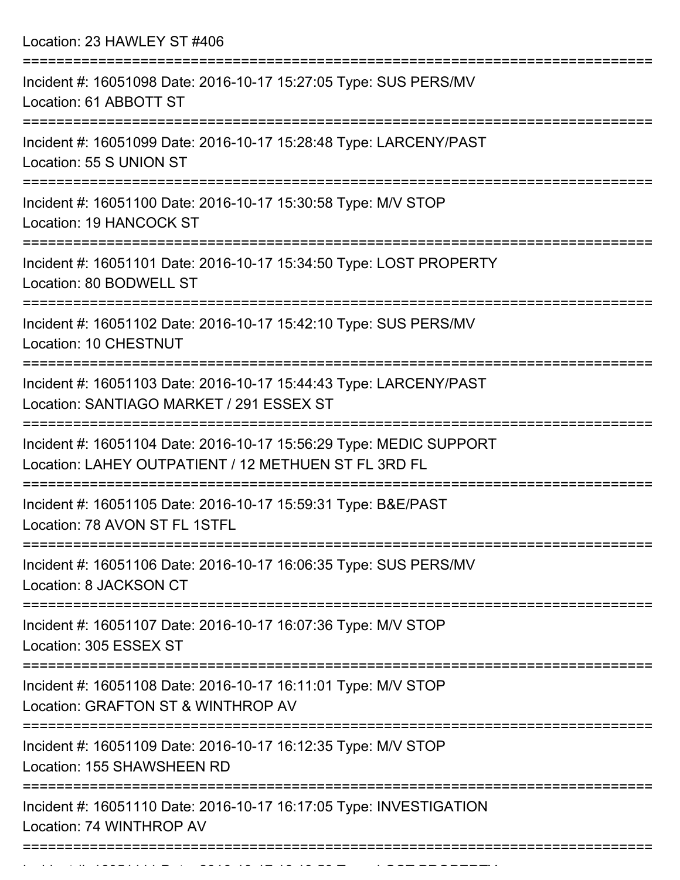Location: 23 HAWLEY ST #406

| Incident #: 16051098 Date: 2016-10-17 15:27:05 Type: SUS PERS/MV<br>Location: 61 ABBOTT ST                                 |
|----------------------------------------------------------------------------------------------------------------------------|
| Incident #: 16051099 Date: 2016-10-17 15:28:48 Type: LARCENY/PAST<br>Location: 55 S UNION ST<br>=================          |
| Incident #: 16051100 Date: 2016-10-17 15:30:58 Type: M/V STOP<br>Location: 19 HANCOCK ST                                   |
| Incident #: 16051101 Date: 2016-10-17 15:34:50 Type: LOST PROPERTY<br>Location: 80 BODWELL ST                              |
| Incident #: 16051102 Date: 2016-10-17 15:42:10 Type: SUS PERS/MV<br>Location: 10 CHESTNUT                                  |
| Incident #: 16051103 Date: 2016-10-17 15:44:43 Type: LARCENY/PAST<br>Location: SANTIAGO MARKET / 291 ESSEX ST              |
| Incident #: 16051104 Date: 2016-10-17 15:56:29 Type: MEDIC SUPPORT<br>Location: LAHEY OUTPATIENT / 12 METHUEN ST FL 3RD FL |
| Incident #: 16051105 Date: 2016-10-17 15:59:31 Type: B&E/PAST<br>Location: 78 AVON ST FL 1STFL                             |
| Incident #: 16051106 Date: 2016-10-17 16:06:35 Type: SUS PERS/MV<br>Location: 8 JACKSON CT                                 |
| Incident #: 16051107 Date: 2016-10-17 16:07:36 Type: M/V STOP<br>Location: 305 ESSEX ST                                    |
| Incident #: 16051108 Date: 2016-10-17 16:11:01 Type: M/V STOP<br>Location: GRAFTON ST & WINTHROP AV                        |
| Incident #: 16051109 Date: 2016-10-17 16:12:35 Type: M/V STOP<br>Location: 155 SHAWSHEEN RD                                |
| Incident #: 16051110 Date: 2016-10-17 16:17:05 Type: INVESTIGATION<br>Location: 74 WINTHROP AV                             |
|                                                                                                                            |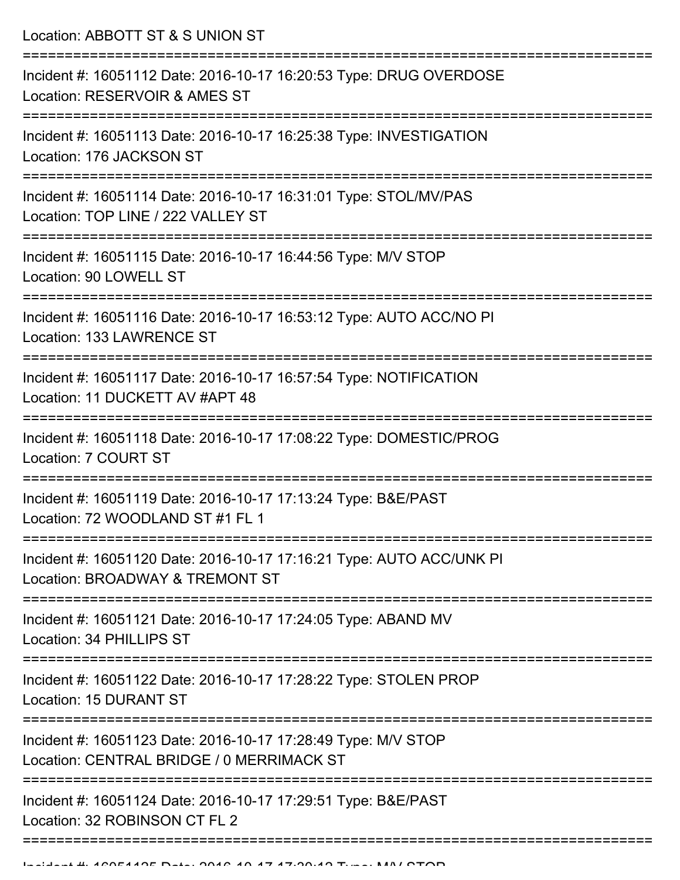Location: ABBOTT ST & S UNION ST =========================================================================== Incident #: 16051112 Date: 2016-10-17 16:20:53 Type: DRUG OVERDOSE Location: RESERVOIR & AMES ST =========================================================================== Incident #: 16051113 Date: 2016-10-17 16:25:38 Type: INVESTIGATION Location: 176 JACKSON ST =========================================================================== Incident #: 16051114 Date: 2016-10-17 16:31:01 Type: STOL/MV/PAS Location: TOP LINE / 222 VALLEY ST =========================================================================== Incident #: 16051115 Date: 2016-10-17 16:44:56 Type: M/V STOP Location: 90 LOWELL ST =========================================================================== Incident #: 16051116 Date: 2016-10-17 16:53:12 Type: AUTO ACC/NO PI Location: 133 LAWRENCE ST =========================================================================== Incident #: 16051117 Date: 2016-10-17 16:57:54 Type: NOTIFICATION Location: 11 DUCKETT AV #APT 48 =========================================================================== Incident #: 16051118 Date: 2016-10-17 17:08:22 Type: DOMESTIC/PROG Location: 7 COURT ST =========================================================================== Incident #: 16051119 Date: 2016-10-17 17:13:24 Type: B&E/PAST Location: 72 WOODLAND ST #1 FL 1 =========================================================================== Incident #: 16051120 Date: 2016-10-17 17:16:21 Type: AUTO ACC/UNK PI Location: BROADWAY & TREMONT ST =========================================================================== Incident #: 16051121 Date: 2016-10-17 17:24:05 Type: ABAND MV Location: 34 PHILLIPS ST =========================================================================== Incident #: 16051122 Date: 2016-10-17 17:28:22 Type: STOLEN PROP Location: 15 DURANT ST =========================================================================== Incident #: 16051123 Date: 2016-10-17 17:28:49 Type: M/V STOP Location: CENTRAL BRIDGE / 0 MERRIMACK ST =========================================================================== Incident #: 16051124 Date: 2016-10-17 17:29:51 Type: B&E/PAST Location: 32 ROBINSON CT FL 2

===========================================================================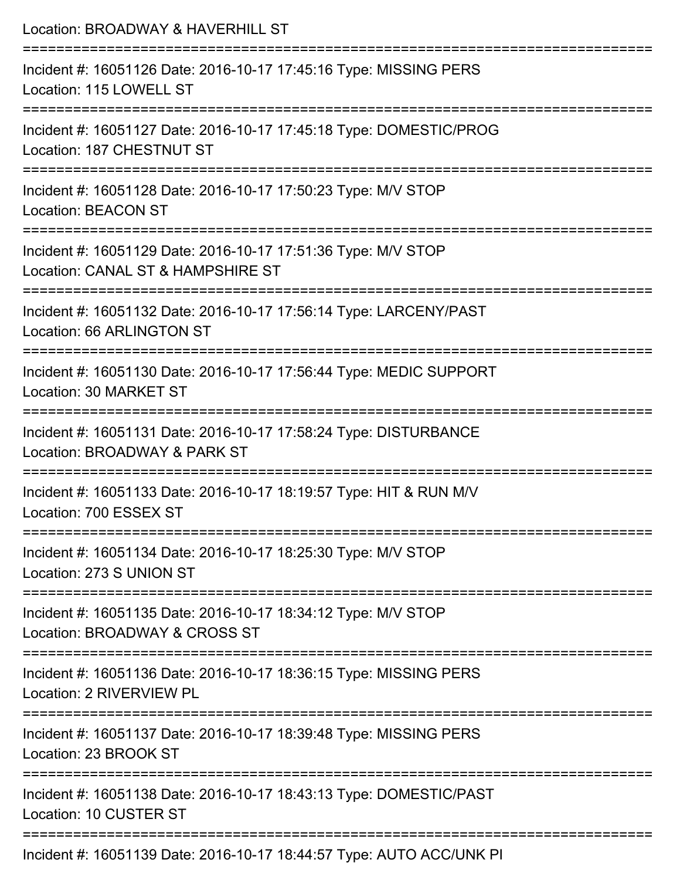| Location: BROADWAY & HAVERHILL ST                                                                  |
|----------------------------------------------------------------------------------------------------|
| Incident #: 16051126 Date: 2016-10-17 17:45:16 Type: MISSING PERS<br>Location: 115 LOWELL ST       |
| Incident #: 16051127 Date: 2016-10-17 17:45:18 Type: DOMESTIC/PROG<br>Location: 187 CHESTNUT ST    |
| Incident #: 16051128 Date: 2016-10-17 17:50:23 Type: M/V STOP<br><b>Location: BEACON ST</b>        |
| Incident #: 16051129 Date: 2016-10-17 17:51:36 Type: M/V STOP<br>Location: CANAL ST & HAMPSHIRE ST |
| Incident #: 16051132 Date: 2016-10-17 17:56:14 Type: LARCENY/PAST<br>Location: 66 ARLINGTON ST     |
| Incident #: 16051130 Date: 2016-10-17 17:56:44 Type: MEDIC SUPPORT<br>Location: 30 MARKET ST       |
| Incident #: 16051131 Date: 2016-10-17 17:58:24 Type: DISTURBANCE<br>Location: BROADWAY & PARK ST   |
| Incident #: 16051133 Date: 2016-10-17 18:19:57 Type: HIT & RUN M/V<br>Location: 700 ESSEX ST       |
| Incident #: 16051134 Date: 2016-10-17 18:25:30 Type: M/V STOP<br>Location: 273 S UNION ST          |
| Incident #: 16051135 Date: 2016-10-17 18:34:12 Type: M/V STOP<br>Location: BROADWAY & CROSS ST     |
| Incident #: 16051136 Date: 2016-10-17 18:36:15 Type: MISSING PERS<br>Location: 2 RIVERVIEW PL      |
| Incident #: 16051137 Date: 2016-10-17 18:39:48 Type: MISSING PERS<br>Location: 23 BROOK ST         |
| Incident #: 16051138 Date: 2016-10-17 18:43:13 Type: DOMESTIC/PAST<br>Location: 10 CUSTER ST       |
| Incident #: 16051139 Date: 2016-10-17 18:44:57 Type: AUTO ACC/UNK PI                               |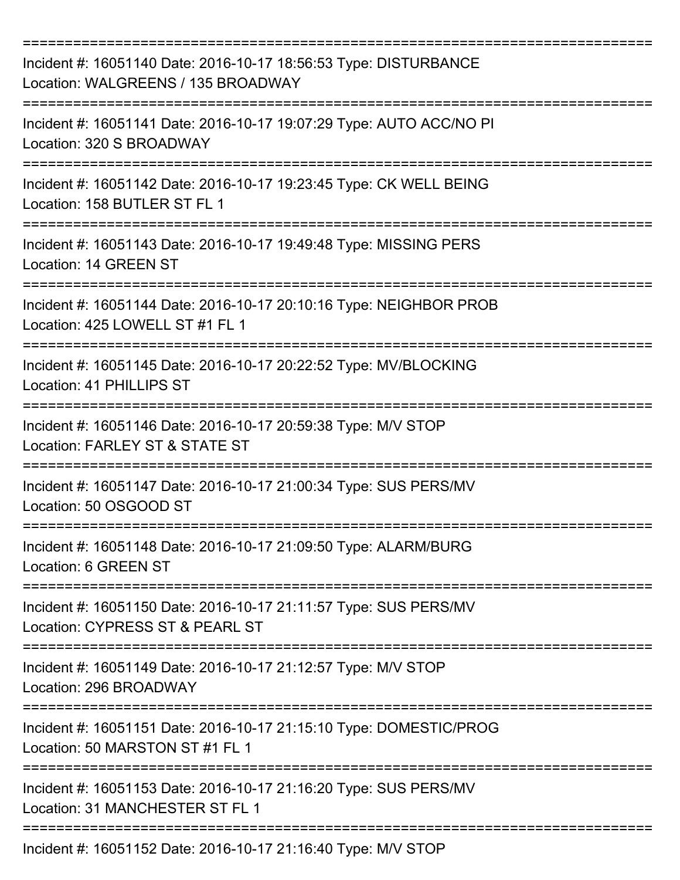| Incident #: 16051140 Date: 2016-10-17 18:56:53 Type: DISTURBANCE<br>Location: WALGREENS / 135 BROADWAY                     |
|----------------------------------------------------------------------------------------------------------------------------|
| Incident #: 16051141 Date: 2016-10-17 19:07:29 Type: AUTO ACC/NO PI<br>Location: 320 S BROADWAY                            |
| Incident #: 16051142 Date: 2016-10-17 19:23:45 Type: CK WELL BEING<br>Location: 158 BUTLER ST FL 1                         |
| Incident #: 16051143 Date: 2016-10-17 19:49:48 Type: MISSING PERS<br>Location: 14 GREEN ST                                 |
| Incident #: 16051144 Date: 2016-10-17 20:10:16 Type: NEIGHBOR PROB<br>Location: 425 LOWELL ST #1 FL 1<br>================= |
| Incident #: 16051145 Date: 2016-10-17 20:22:52 Type: MV/BLOCKING<br>Location: 41 PHILLIPS ST                               |
| Incident #: 16051146 Date: 2016-10-17 20:59:38 Type: M/V STOP<br>Location: FARLEY ST & STATE ST                            |
| Incident #: 16051147 Date: 2016-10-17 21:00:34 Type: SUS PERS/MV<br>Location: 50 OSGOOD ST                                 |
| Incident #: 16051148 Date: 2016-10-17 21:09:50 Type: ALARM/BURG<br>Location: 6 GREEN ST                                    |
| Incident #: 16051150 Date: 2016-10-17 21:11:57 Type: SUS PERS/MV<br>Location: CYPRESS ST & PEARL ST                        |
| Incident #: 16051149 Date: 2016-10-17 21:12:57 Type: M/V STOP<br>Location: 296 BROADWAY                                    |
| Incident #: 16051151 Date: 2016-10-17 21:15:10 Type: DOMESTIC/PROG<br>Location: 50 MARSTON ST #1 FL 1                      |
| Incident #: 16051153 Date: 2016-10-17 21:16:20 Type: SUS PERS/MV<br>Location: 31 MANCHESTER ST FL 1                        |
| Incident #: 16051152 Date: 2016-10-17 21:16:40 Type: M/V STOP                                                              |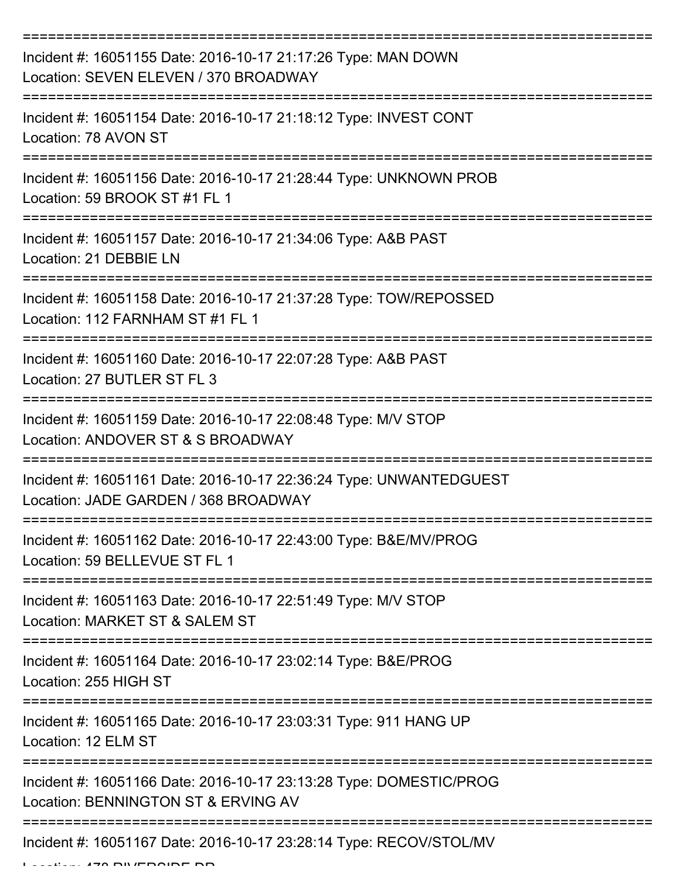| Incident #: 16051155 Date: 2016-10-17 21:17:26 Type: MAN DOWN<br>Location: SEVEN ELEVEN / 370 BROADWAY     |
|------------------------------------------------------------------------------------------------------------|
| Incident #: 16051154 Date: 2016-10-17 21:18:12 Type: INVEST CONT<br>Location: 78 AVON ST                   |
| Incident #: 16051156 Date: 2016-10-17 21:28:44 Type: UNKNOWN PROB<br>Location: 59 BROOK ST #1 FL 1         |
| Incident #: 16051157 Date: 2016-10-17 21:34:06 Type: A&B PAST<br>Location: 21 DEBBIE LN                    |
| Incident #: 16051158 Date: 2016-10-17 21:37:28 Type: TOW/REPOSSED<br>Location: 112 FARNHAM ST #1 FL 1      |
| Incident #: 16051160 Date: 2016-10-17 22:07:28 Type: A&B PAST<br>Location: 27 BUTLER ST FL 3               |
| Incident #: 16051159 Date: 2016-10-17 22:08:48 Type: M/V STOP<br>Location: ANDOVER ST & S BROADWAY         |
| Incident #: 16051161 Date: 2016-10-17 22:36:24 Type: UNWANTEDGUEST<br>Location: JADE GARDEN / 368 BROADWAY |
| Incident #: 16051162 Date: 2016-10-17 22:43:00 Type: B&E/MV/PROG<br>Location: 59 BELLEVUE ST FL 1          |
| Incident #: 16051163 Date: 2016-10-17 22:51:49 Type: M/V STOP<br>Location: MARKET ST & SALEM ST            |
| Incident #: 16051164 Date: 2016-10-17 23:02:14 Type: B&E/PROG<br>Location: 255 HIGH ST                     |
| Incident #: 16051165 Date: 2016-10-17 23:03:31 Type: 911 HANG UP<br>Location: 12 ELM ST                    |
| Incident #: 16051166 Date: 2016-10-17 23:13:28 Type: DOMESTIC/PROG<br>Location: BENNINGTON ST & ERVING AV  |
| Incident #: 16051167 Date: 2016-10-17 23:28:14 Type: RECOV/STOL/MV                                         |